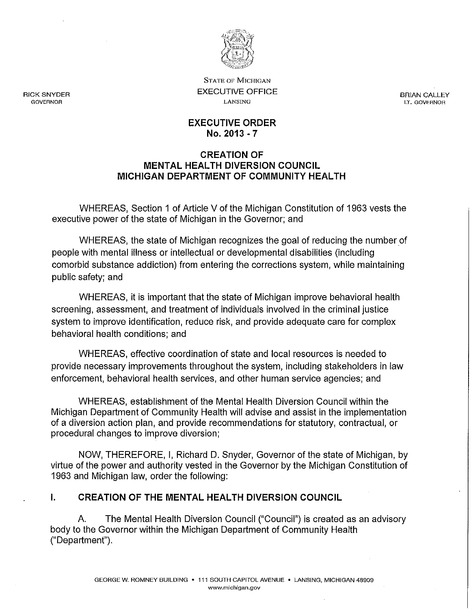

STATE OF MICHIGAN EXECUTIVE OFFICE LANSING

BRIAN CALLEY LT. GOVERNOR

#### EXECUTIVE ORDER No. 2013 - 7

#### CREATION OF MENTAL HEALTH DIVERSION COUNCIL MICHIGAN DEPARTMENT OF COMMUNITY HEALTH

WHEREAS, Section 1 of Article V of the Michigan Constitution of 1963 vests the executive power of the state of Michigan in the Governor; and

WHEREAS, the state of Michigan recognizes the goal of reducing the number of people with mental illness or intellectual or developmental disabilities (including comorbid substance addiction) from entering the corrections system, while maintaining public safety; and

WHEREAS, it is important that the state of Michigan improve behavioral health screening, assessment, and treatment of individuals involved in the criminal justice system to improve identification, reduce risk, and provide adequate care for complex behavioral health conditions; and

WHEREAS, effective coordination of state and local resources is needed to provide necessary improvements throughout the system, including stakeholders in law enforcement, behavioral health services, and other human service agencies; and

WHEREAS, establishment of the Mental Health Diversion Council within the Michigan Department of Community Health will advise and assist in the implementation of a diversion action plan, and provide recommendations for statutory, contractual, or procedural changes to improve diversion;

NOW, THEREFORE, I, Richard D. Snyder, Governor of the state of Michigan, by virtue of the power and authority vested in the Governor by the Michigan Constitution of 1963 and Michigan law, order the following:

# I. CREATION OF THE MENTAL HEALTH DIVERSION COUNCIL

A. The Mental Health Diversion Council ("Council") is created as an advisory body to the Governor within the Michigan Department of Community Health ("Department").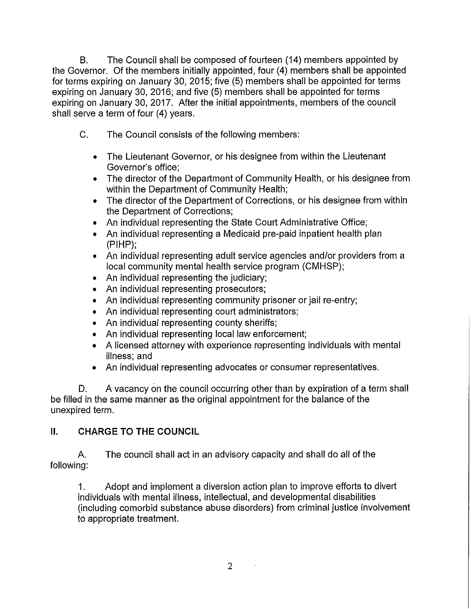B. The Council shall be composed of fourteen (14) members appointed by the Governor. Of the members initially appointed, four (4) members shall be appointed for terms expiring on January 30, 2015; five (5) members shall be appointed for terms expiring on January 30, 2016; and five (5) members shall be appointed for terms expiring on January 30, 2017. After the initial appointments, members of the council shall serve a term of four (4) years.

- C. The Council consists of the following members:
	- The Lieutenant Governor, or his designee from within the Lieutenant Governor's office;
	- The director of the Department of Community Health, or his designee from within the Department of Community Health;
	- The director of the Department of Corrections, or his designee from within the Department of Corrections;
	- An individual representing the State Court Administrative Office;
	- An individual representing a Medicaid pre-paid inpatient health plan (PIHP);
	- An individual representing adult service agencies and/or providers from a local community mental health service program (CMHSP);
	- An individual representing the judiciary;
	- An individual representing prosecutors;
	- An individual representing community prisoner or jail re-entry;
	- An individual representing court administrators;
	- An individual representing county sheriffs;
	- An individual representing local law enforcement;
	- A licensed attorney with experience representing individuals with mental illness; and
	- An individual representing advocates or consumer representatives.

D. A vacancy on the council occurring other than by expiration of a term shall be filled in the same manner as the original appointment for the balance of the unexpired term.

# **II. CHARGE TO THE COUNCIL**

A. The council shall act in an advisory capacity and shall do all of the following:

1. Adopt and implement a diversion action plan to improve efforts to divert individuals with mental illness, intellectual, and developmental disabilities (including comorbid substance abuse disorders) from criminal justice involvement to appropriate treatment.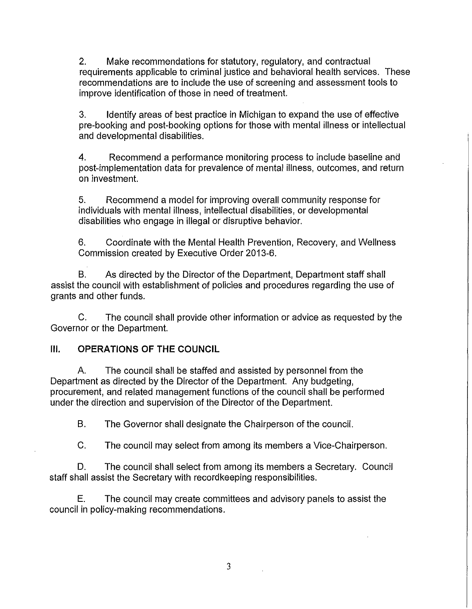2. Make recommendations for statutory, regulatory, and contractual requirements applicable to criminal justice and behavioral health services. These recommendations are to include the use of screening and assessment tools to improve identification of those in need of treatment.

3. Identify areas of best practice in Michigan to expand the use of effective pre-booking and post-booking options for those with mental illness or intellectual and developmental disabilities.

4. Recommend a performance monitoring process to include baseline and post-implementation data for prevalence of mental illness, outcomes, and return on investment.

5. Recommend a model for improving overall community response for individuals with mental illness, intellectual disabilities, or developmental disabilities who engage in illegal or disruptive behavior.

6. Coordinate with the Mental Health Prevention, Recovery, and Wellness Commission created by Executive Order 2013-6.

B. As directed by the Director of the Department, Department staff shall assist the council with establishment of policies and procedures regarding the use of grants and other funds.

C. The council shall provide other information or advice as requested by the Governor or the Department.

# **III. OPERATIONS OF THE COUNCIL**

A. The council shall be staffed and assisted by personnel from the Department as directed by the Director of the Department. Any budgeting, procurement, and related management functions of the council shall be performed under the direction and supervision of the Director of the Department.

B. The Governor shall designate the Chairperson of the council.

C. The council may select from among its members a Vice-Chairperson.

D. The council shall select from among its members a Secretary. Council staff shall assist the Secretary with recordkeeping responsibilities.

E. The council may create committees and advisory panels to assist the council in policy-making recommendations.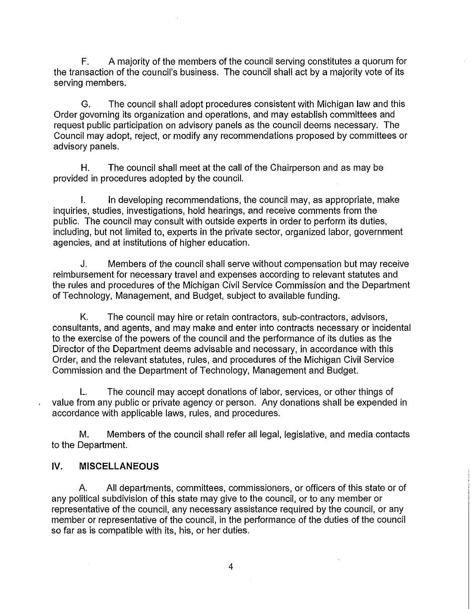F. A majority of the members of the council serving constitutes a quorum for the transaction of the council's business. The council shall act by a majority vote of its serving members.

G. The council shall adopt procedures consistent with Michigan law and this Order governing its organization and operations, and may establish committees and request public participation on advisory panels as the council deems necessary. The Council may adopt, reject, or modify any recommendations proposed by committees or advisory panels.

H. The council shall meet at the call of the Chairperson and as may be provided in procedures adopted by the council.

I. In developing recommendations, the council may, as appropriate, make inquiries, studies, investigations, hold hearings, and receive comments from the public. The council may consult with outside experts in order to perform its duties, including, but not limited to, experts in the private sector, organized labor, government agencies, and at institutions of higher education.

J. Members of the council shall serve without compensation but may receive reimbursement for necessary travel and expenses according to relevant statutes and the rules and procedures of the Michigan Civil Service Commission and the Department of Technology, Management, and Budget, subject to available funding.

K. The council may hire or retain contractors, sub-contractors, advisors, consultants, and agents, and may make and enter into contracts necessary or incidental to the exercise of the powers of the council and the performance of its duties as the Director of the Department deems advisable and necessary, in accordance with this Order, and the relevant statutes, rules, and procedures of the Michigan Civil Service Commission and the Department of Technology, Management and Budget.

L. The council may accept donations of labor, services, or other things of value from any public or private agency or person. Any donations shall be expended in accordance with applicable laws, rules, and procedures.

M. Members of the council shall refer all legal, legislative, and media contacts to the Department.

# IV. **MISCELLANEOUS**

A. All departments, committees, commissioners, or officers of this state or of any pOlitical subdivision of this state may give to the council, or to any member or representative of the council, any necessary assistance required by the council, or any member or representative of the council, in the performance of the duties of the council so far as is compatible with its, his, or her duties.

 $\mathcal{A}$